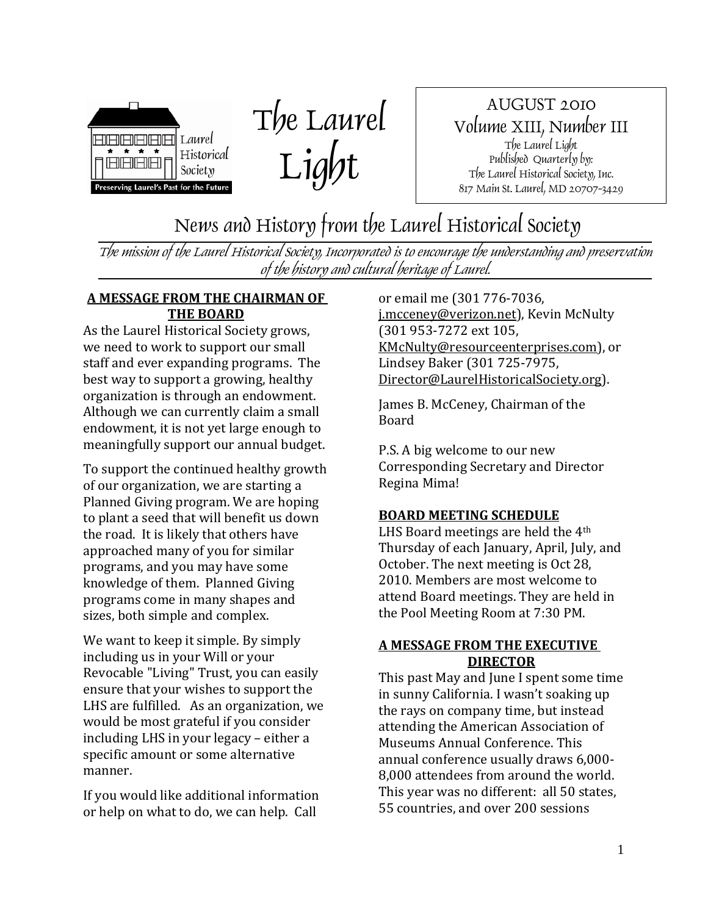

The Laurel Light

AUGUST 2010 Volume XIII, Number III The Laurel Light Published Quarterly by: The Laurel Historical Society, Inc. 817 Main St. Laurel, MD 20707-3429

News and History from the Laurel Historical Society

The mission of the Laurel Historical Society, Incorporated is to encourage the understanding and preservation of the history and cultural heritage of Laurel.

#### **A MESSAGE FROM THE CHAIRMAN OF THE BOARD**

As the Laurel Historical Society grows, we need to work to support our small staff and ever expanding programs. The best way to support a growing, healthy organization is through an endowment. Although we can currently claim a small endowment, it is not yet large enough to meaningfully support our annual budget.

To support the continued healthy growth of our organization, we are starting a Planned Giving program. We are hoping to plant a seed that will benefit us down the road. It is likely that others have approached many of you for similar programs, and you may have some knowledge of them. Planned Giving programs come in many shapes and sizes, both simple and complex.

We want to keep it simple. By simply including us in your Will or your Revocable "Living" Trust, you can easily ensure that your wishes to support the LHS are fulfilled. As an organization, we would be most grateful if you consider including LHS in your legacy – either a specific amount or some alternative manner.

If you would like additional information or help on what to do, we can help. Call

or email me (301 776‐7036, j.mcceney@verizon.net), Kevin McNulty (301 953‐7272 ext 105, KMcNulty@resourceenterprises.com), or Lindsey Baker (301 725‐7975, Director@LaurelHistoricalSociety.org).

James B. McCeney, Chairman of the Board

P.S. A big welcome to our new Corresponding Secretary and Director Regina Mima!

## **BOARD MEETING SCHEDULE**

LHS Board meetings are held the 4th Thursday of each January, April, July, and October. The next meeting is Oct 28, 2010. Members are most welcome to attend Board meetings. They are held in the Pool Meeting Room at 7:30 PM.

#### **A MESSAGE FROM THE EXECUTIVE DIRECTOR**

This past May and June I spent some time in sunny California. I wasn't soaking up the rays on company time, but instead attending the American Association of Museums Annual Conference. This annual conference usually draws 6,000‐ 8,000 attendees from around the world. This year was no different: all 50 states, 55 countries, and over 200 sessions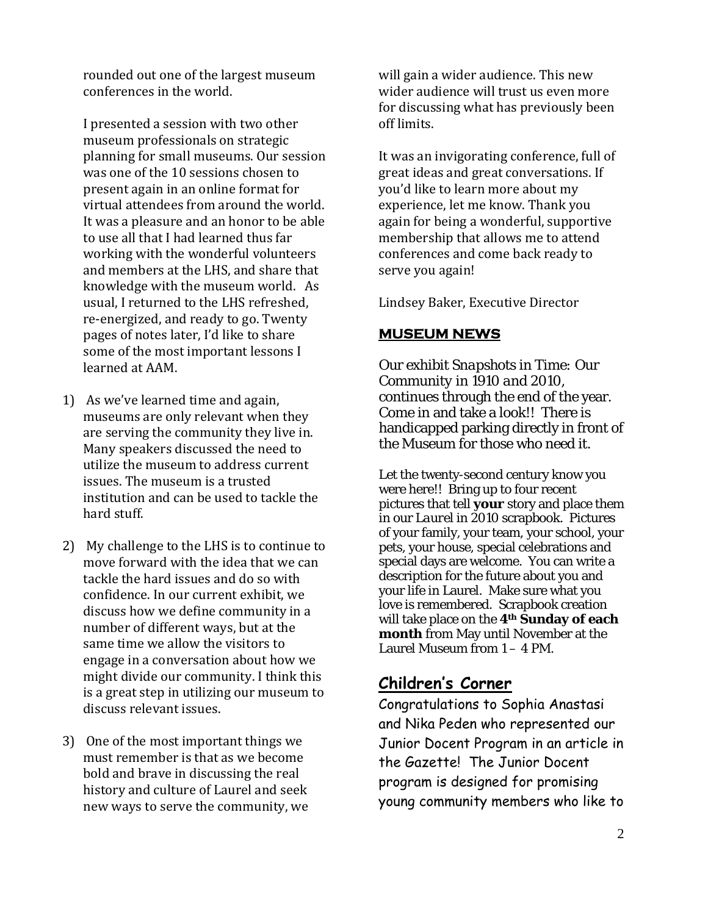rounded out one of the largest museum conferences in the world.

I presented a session with two other museum professionals on strategic planning for small museums. Our session was one of the 10 sessions chosen to present again in an online format for virtual attendees from around the world. It was a pleasure and an honor to be able to use all that I had learned thus far working with the wonderful volunteers and members at the LHS, and share that knowledge with the museum world. As usual, I returned to the LHS refreshed, re‐energized, and ready to go. Twenty pages of notes later, I'd like to share some of the most important lessons I learned at AAM.

- 1) As we've learned time and again, museums are only relevant when they are serving the community they live in. Many speakers discussed the need to utilize the museum to address current issues. The museum is a trusted institution and can be used to tackle the hard stuff.
- 2) My challenge to the LHS is to continue to move forward with the idea that we can tackle the hard issues and do so with confidence. In our current exhibit, we discuss how we define community in a number of different ways, but at the same time we allow the visitors to engage in a conversation about how we might divide our community. I think this is a great step in utilizing our museum to discuss relevant issues.
- 3) One of the most important things we must remember is that as we become bold and brave in discussing the real history and culture of Laurel and seek new ways to serve the community, we

will gain a wider audience. This new wider audience will trust us even more for discussing what has previously been off limits.

It was an invigorating conference, full of great ideas and great conversations. If you'd like to learn more about my experience, let me know. Thank you again for being a wonderful, supportive membership that allows me to attend conferences and come back ready to serve you again!

Lindsey Baker, Executive Director

## **MUSEUM NEWS**

Our exhibit *Snapshots in Time: Our Community in 1910 and 2010*, continues through the end of the year. Come in and take a look!! There is handicapped parking directly in front of the Museum for those who need it.

Let the twenty-second century know you were here!! Bring up to four recent pictures that tell **your** story and place them in our *Laurel in 2010* scrapbook. Pictures of your family, your team, your school, your pets, your house, special celebrations and special days are welcome. You can write a description for the future about you and your life in Laurel. Make sure what you love is remembered. Scrapbook creation will take place on the **4th Sunday of each month** from May until November at the Laurel Museum from 1 – 4 PM.

## **Children's Corner**

Congratulations to Sophia Anastasi and Nika Peden who represented our Junior Docent Program in an article in the Gazette! The Junior Docent program is designed for promising young community members who like to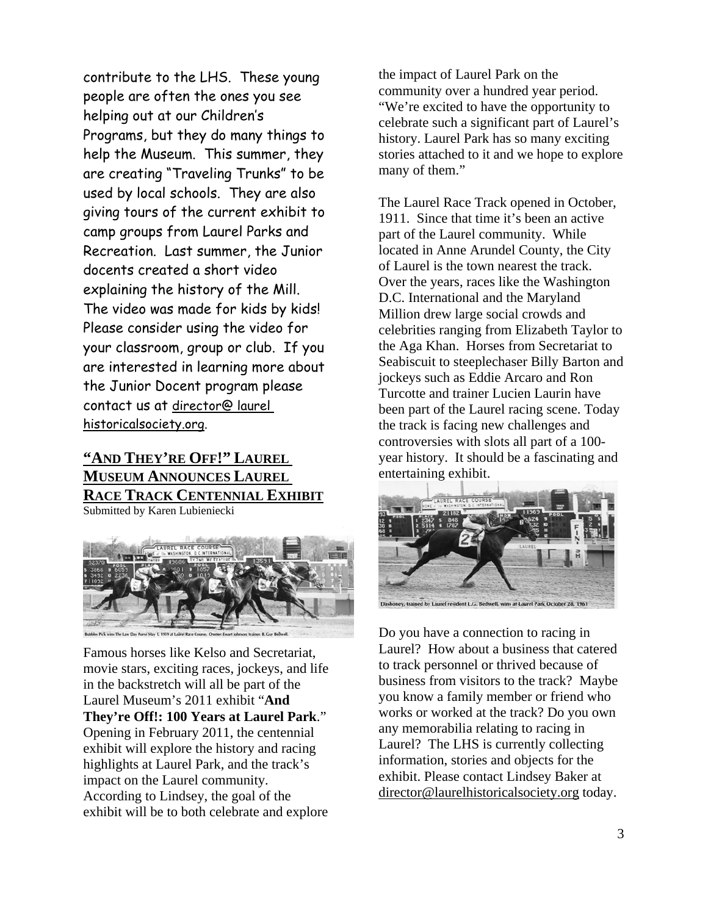contribute to the LHS. These young people are often the ones you see helping out at our Children's Programs, but they do many things to help the Museum. This summer, they are creating "Traveling Trunks" to be used by local schools. They are also giving tours of the current exhibit to camp groups from Laurel Parks and Recreation. Last summer, the Junior docents created a short video explaining the history of the Mill. The video was made for kids by kids! Please consider using the video for your classroom, group or club. If you are interested in learning more about the Junior Docent program please contact us at director@ laurel historicalsociety.org.

#### **"AND THEY'RE OFF!" LAUREL MUSEUM ANNOUNCES LAUREL RACE TRACK CENTENNIAL EXHIBIT** Submitted by Karen Lubieniecki





Famous horses like Kelso and Secretariat, movie stars, exciting races, jockeys, and life in the backstretch will all be part of the Laurel Museum's 2011 exhibit "**And They're Off!: 100 Years at Laurel Park**." Opening in February 2011, the centennial exhibit will explore the history and racing highlights at Laurel Park, and the track's impact on the Laurel community. According to Lindsey, the goal of the exhibit will be to both celebrate and explore

the impact of Laurel Park on the community over a hundred year period. "We're excited to have the opportunity to celebrate such a significant part of Laurel's history. Laurel Park has so many exciting stories attached to it and we hope to explore many of them."

The Laurel Race Track opened in October, 1911. Since that time it's been an active part of the Laurel community. While located in Anne Arundel County, the City of Laurel is the town nearest the track. Over the years, races like the Washington D.C. International and the Maryland Million drew large social crowds and celebrities ranging from Elizabeth Taylor to the Aga Khan. Horses from Secretariat to Seabiscuit to steeplechaser Billy Barton and jockeys such as Eddie Arcaro and Ron Turcotte and trainer Lucien Laurin have been part of the Laurel racing scene. Today the track is facing new challenges and controversies with slots all part of a 100 year history. It should be a fascinating and entertaining exhibit.



ed by Laurel resident L.G. Bedwell, wins at Laurel Park October 28, 196

Do you have a connection to racing in Laurel? How about a business that catered to track personnel or thrived because of business from visitors to the track? Maybe you know a family member or friend who works or worked at the track? Do you own any memorabilia relating to racing in Laurel? The LHS is currently collecting information, stories and objects for the exhibit. Please contact Lindsey Baker at director@laurelhistoricalsociety.org today.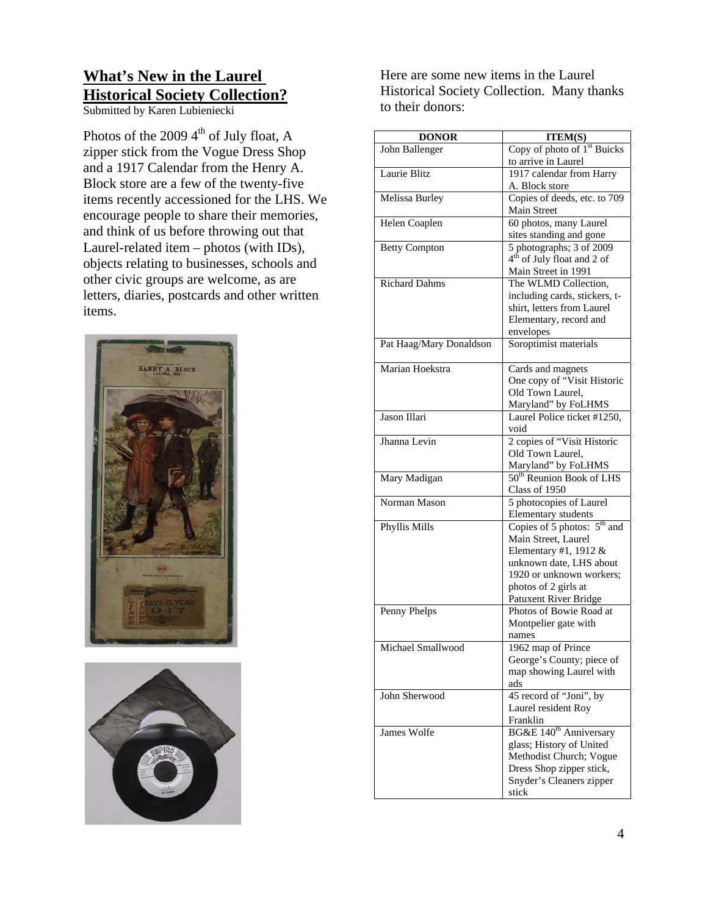# **What's New in the Laurel Historical Society Collection?**

Submitted by Karen Lubieniecki

Photos of the 2009  $4<sup>th</sup>$  of July float, A zipper stick from the Vogue Dress Shop and a 1917 Calendar from the Henry A. Block store are a few of the twenty-five items recently accessioned for the LHS. We encourage people to share their memories, and think of us before throwing out that Laurel-related item – photos (with IDs), objects relating to businesses, schools and other civic groups are welcome, as are letters, diaries, postcards and other written items.





Here are some new items in the Laurel Historical Society Collection. Many thanks to their donors:

| <b>DONOR</b>            | <b>ITEM(S)</b>                                                     |
|-------------------------|--------------------------------------------------------------------|
| John Ballenger          | Copy of photo of 1 <sup>st</sup> Buicks                            |
|                         | to arrive in Laurel                                                |
| Laurie Blitz            | 1917 calendar from Harry                                           |
|                         | A. Block store                                                     |
| Melissa Burley          | Copies of deeds, etc. to 709                                       |
|                         | Main Street                                                        |
| Helen Coaplen           | 60 photos, many Laurel                                             |
|                         | sites standing and gone                                            |
| <b>Betty Compton</b>    | 5 photographs; 3 of 2009<br>4 <sup>th</sup> of July float and 2 of |
|                         | Main Street in 1991                                                |
| <b>Richard Dahms</b>    | The WLMD Collection,                                               |
|                         | including cards, stickers, t-                                      |
|                         | shirt, letters from Laurel                                         |
|                         | Elementary, record and                                             |
|                         | envelopes                                                          |
| Pat Haag/Mary Donaldson | Soroptimist materials                                              |
|                         |                                                                    |
| Marian Hoekstra         | Cards and magnets                                                  |
|                         | One copy of "Visit Historic                                        |
|                         | Old Town Laurel,                                                   |
|                         | Maryland" by FoLHMS                                                |
| Jason Illari            | Laurel Police ticket #1250,                                        |
|                         | void                                                               |
| Jhanna Levin            | 2 copies of "Visit Historic                                        |
|                         | Old Town Laurel,                                                   |
|                         | Maryland" by FoLHMS<br>50 <sup>th</sup> Reunion Book of LHS        |
| Mary Madigan            |                                                                    |
| Norman Mason            | Class of 1950<br>5 photocopies of Laurel                           |
|                         | <b>Elementary</b> students                                         |
| Phyllis Mills           | Copies of 5 photos: $5th$ and                                      |
|                         | Main Street, Laurel                                                |
|                         | Elementary #1, 1912 &                                              |
|                         | unknown date, LHS about                                            |
|                         | 1920 or unknown workers;                                           |
|                         | photos of 2 girls at                                               |
|                         | Patuxent River Bridge                                              |
| Penny Phelps            | Photos of Bowie Road at                                            |
|                         | Montpelier gate with                                               |
|                         | names                                                              |
| Michael Smallwood       | 1962 map of Prince                                                 |
|                         | George's County; piece of                                          |
|                         | map showing Laurel with<br>ads                                     |
| John Sherwood           | 45 record of "Joni", by                                            |
|                         | Laurel resident Roy                                                |
|                         | Franklin                                                           |
| James Wolfe             | BG&E 140 <sup>th</sup> Anniversary                                 |
|                         | glass; History of United                                           |
|                         | Methodist Church; Vogue                                            |
|                         | Dress Shop zipper stick,                                           |
|                         | Snyder's Cleaners zipper                                           |
|                         | stick                                                              |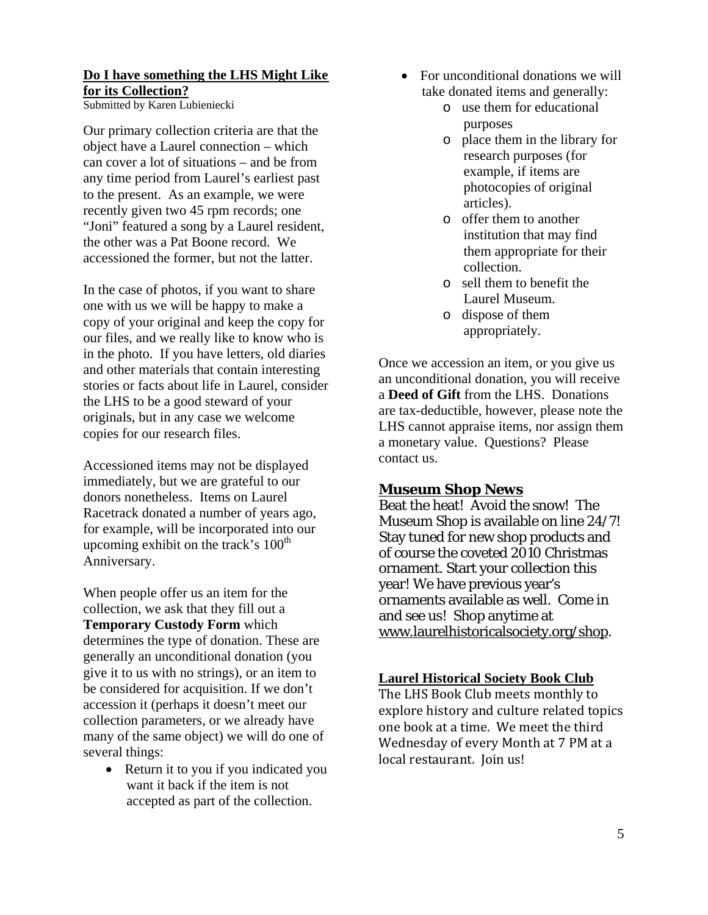#### **Do I have something the LHS Might Like for its Collection?**

Submitted by Karen Lubieniecki

Our primary collection criteria are that the object have a Laurel connection – which can cover a lot of situations – and be from any time period from Laurel's earliest past to the present. As an example, we were recently given two 45 rpm records; one "Joni" featured a song by a Laurel resident, the other was a Pat Boone record. We accessioned the former, but not the latter.

In the case of photos, if you want to share one with us we will be happy to make a copy of your original and keep the copy for our files, and we really like to know who is in the photo. If you have letters, old diaries and other materials that contain interesting stories or facts about life in Laurel, consider the LHS to be a good steward of your originals, but in any case we welcome copies for our research files.

Accessioned items may not be displayed immediately, but we are grateful to our donors nonetheless. Items on Laurel Racetrack donated a number of years ago, for example, will be incorporated into our upcoming exhibit on the track's  $100<sup>th</sup>$ Anniversary.

When people offer us an item for the collection, we ask that they fill out a **Temporary Custody Form** which determines the type of donation. These are generally an unconditional donation (you give it to us with no strings), or an item to be considered for acquisition. If we don't accession it (perhaps it doesn't meet our collection parameters, or we already have many of the same object) we will do one of several things:

• Return it to you if you indicated you want it back if the item is not accepted as part of the collection.

- For unconditional donations we will take donated items and generally:
	- o use them for educational purposes
	- o place them in the library for research purposes (for example, if items are photocopies of original articles).
	- o offer them to another institution that may find them appropriate for their collection.
	- o sell them to benefit the Laurel Museum.
	- o dispose of them appropriately.

Once we accession an item, or you give us an unconditional donation, you will receive a **Deed of Gift** from the LHS. Donations are tax-deductible, however, please note the LHS cannot appraise items, nor assign them a monetary value. Questions? Please contact us.

#### **Museum Shop News**

Beat the heat! Avoid the snow! The Museum Shop is available on line 24/7! Stay tuned for new shop products and of course the coveted 2010 Christmas ornament. Start your collection this year! We have previous year's ornaments available as well. Come in and see us! Shop anytime at www.laurelhistoricalsociety.org/shop.

#### **Laurel Historical Society Book Club**

The LHS Book Club meets monthly to explore history and culture related topics one book at a time. We meet the third Wednesday of every Month at 7 PM at a local restaurant. Join us!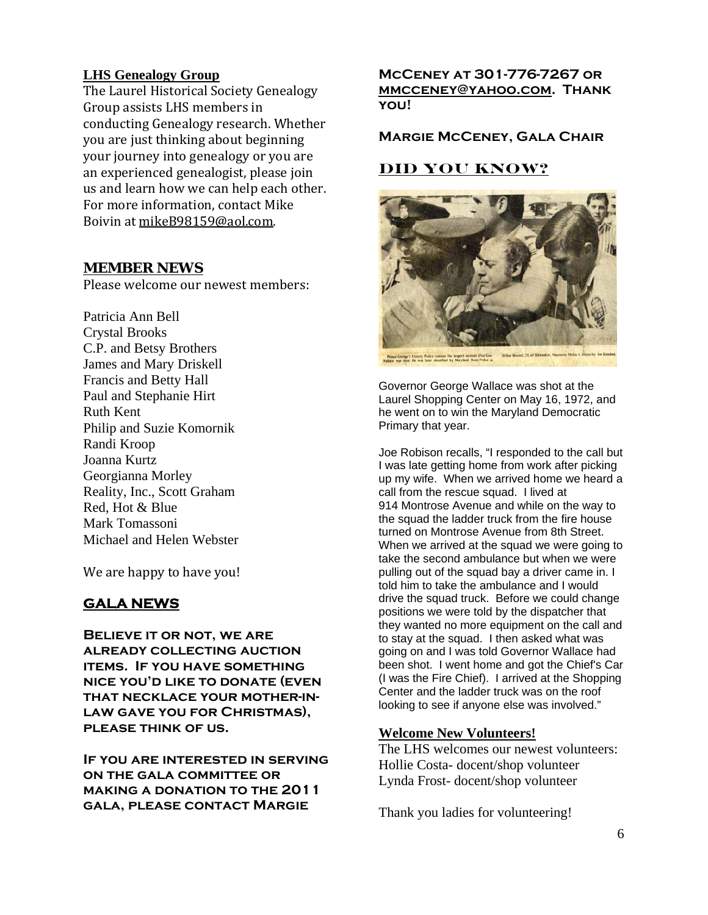#### **LHS Genealogy Group**

The Laurel Historical Society Genealogy Group assists LHS members in conducting Genealogy research. Whether you are just thinking about beginning your journey into genealogy or you are an experienced genealogist, please join us and learn how we can help each other. For more information, contact Mike Boivin at mikeB98159@aol.com.

#### **MEMBER NEWS**

Please welcome our newest members:

Patricia Ann Bell Crystal Brooks C.P. and Betsy Brothers James and Mary Driskell Francis and Betty Hall Paul and Stephanie Hirt Ruth Kent Philip and Suzie Komornik Randi Kroop Joanna Kurtz Georgianna Morley Reality, Inc., Scott Graham Red, Hot & Blue Mark Tomassoni Michael and Helen Webster

We are happy to have you!

## **GALA NEWS**

**Believe it or not, we are already collecting auction items. If you have something nice you'd like to donate (even that necklace your mother-inlaw gave you for Christmas), please think of us.** 

**If you are interested in serving on the gala committee or making a donation to the 2011 gala, please contact Margie** 

**McCeney at 301-776-7267 or mmcceney@yahoo.com. Thank you!** 

#### **Margie McCeney, Gala Chair**

## **DID YOU KNOW?**



Governor George Wallace was shot at the Laurel Shopping Center on May 16, 1972, and he went on to win the Maryland Democratic Primary that year.

Joe Robison recalls, "I responded to the call but I was late getting home from work after picking up my wife. When we arrived home we heard a call from the rescue squad. I lived at 914 Montrose Avenue and while on the way to the squad the ladder truck from the fire house turned on Montrose Avenue from 8th Street. When we arrived at the squad we were going to take the second ambulance but when we were pulling out of the squad bay a driver came in. I told him to take the ambulance and I would drive the squad truck. Before we could change positions we were told by the dispatcher that they wanted no more equipment on the call and to stay at the squad. I then asked what was going on and I was told Governor Wallace had been shot. I went home and got the Chief's Car (I was the Fire Chief). I arrived at the Shopping Center and the ladder truck was on the roof looking to see if anyone else was involved."

#### **Welcome New Volunteers!**

The LHS welcomes our newest volunteers: Hollie Costa- docent/shop volunteer Lynda Frost- docent/shop volunteer

Thank you ladies for volunteering!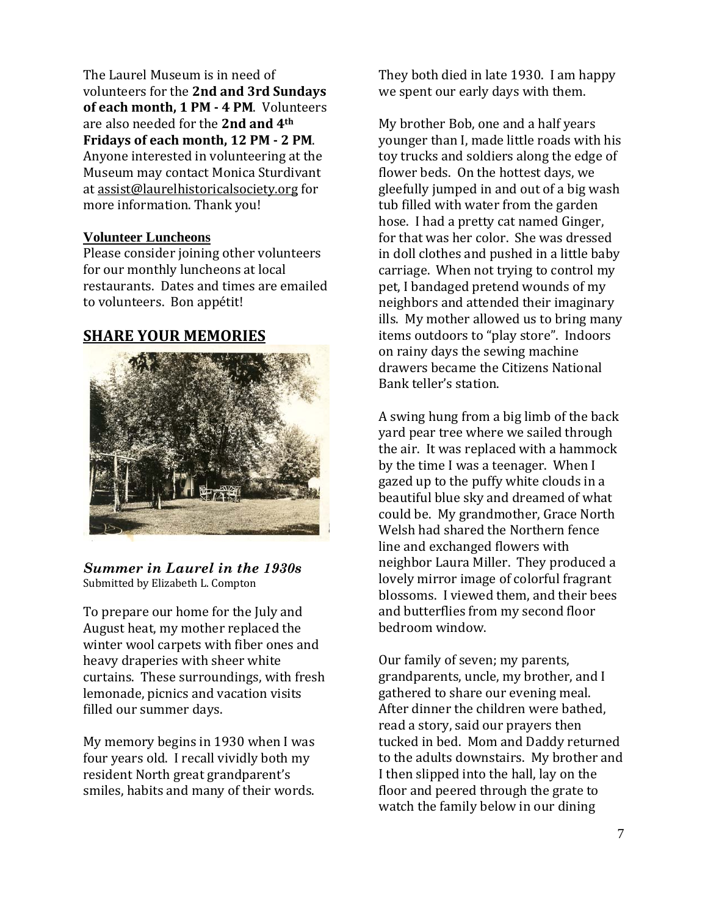The Laurel Museum is in need of volunteers for the **2nd and 3rd Sundays of each month, 1 PM 4 PM**. Volunteers are also needed for the **2nd and 4th Fridays of each month, 12 PM 2 PM**. Anyone interested in volunteering at the Museum may contact Monica Sturdivant at assist@laurelhistoricalsociety.org for more information. Thank you!

#### **Volunteer Luncheons**

Please consider joining other volunteers for our monthly luncheons at local restaurants. Dates and times are emailed to volunteers. Bon appétit!

#### **SHARE YOUR MEMORIES**



*Summer in Laurel in the 1930s*  Submitted by Elizabeth L. Compton

To prepare our home for the July and August heat, my mother replaced the winter wool carpets with fiber ones and heavy draperies with sheer white curtains. These surroundings, with fresh lemonade, picnics and vacation visits filled our summer days.

My memory begins in 1930 when I was four years old. I recall vividly both my resident North great grandparent's smiles, habits and many of their words.

They both died in late 1930. I am happy we spent our early days with them.

My brother Bob, one and a half years younger than I, made little roads with his toy trucks and soldiers along the edge of flower beds. On the hottest days, we gleefully jumped in and out of a big wash tub filled with water from the garden hose. I had a pretty cat named Ginger, for that was her color. She was dressed in doll clothes and pushed in a little baby carriage. When not trying to control my pet, I bandaged pretend wounds of my neighbors and attended their imaginary ills. My mother allowed us to bring many items outdoors to "play store". Indoors on rainy days the sewing machine drawers became the Citizens National Bank teller's station.

A swing hung from a big limb of the back yard pear tree where we sailed through the air. It was replaced with a hammock by the time I was a teenager. When I gazed up to the puffy white clouds in a beautiful blue sky and dreamed of what could be. My grandmother, Grace North Welsh had shared the Northern fence line and exchanged flowers with neighbor Laura Miller. They produced a lovely mirror image of colorful fragrant blossoms. I viewed them, and their bees and butterflies from my second floor bedroom window.

Our family of seven; my parents, grandparents, uncle, my brother, and I gathered to share our evening meal. After dinner the children were bathed, read a story, said our prayers then tucked in bed. Mom and Daddy returned to the adults downstairs. My brother and I then slipped into the hall, lay on the floor and peered through the grate to watch the family below in our dining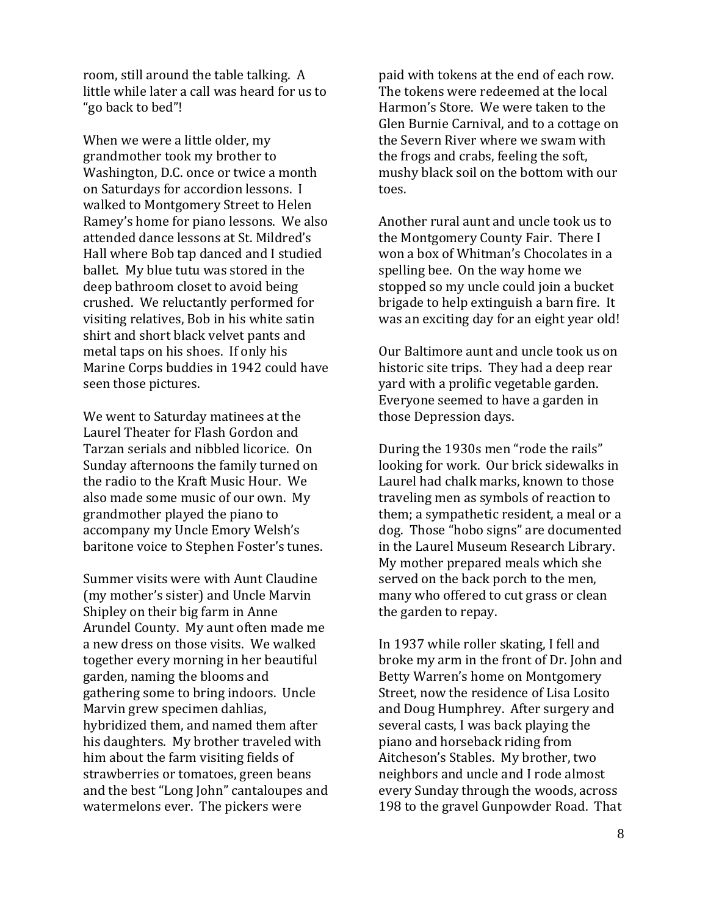room, still around the table talking. A little while later a call was heard for us to "go back to bed"!

When we were a little older, my grandmother took my brother to Washington, D.C. once or twice a month on Saturdays for accordion lessons. I walked to Montgomery Street to Helen Ramey's home for piano lessons. We also attended dance lessons at St. Mildred's Hall where Bob tap danced and I studied ballet. My blue tutu was stored in the deep bathroom closet to avoid being crushed. We reluctantly performed for visiting relatives, Bob in his white satin shirt and short black velvet pants and metal taps on his shoes. If only his Marine Corps buddies in 1942 could have seen those pictures.

We went to Saturday matinees at the Laurel Theater for Flash Gordon and Tarzan serials and nibbled licorice. On Sunday afternoons the family turned on the radio to the Kraft Music Hour. We also made some music of our own. My grandmother played the piano to accompany my Uncle Emory Welsh's baritone voice to Stephen Foster's tunes.

Summer visits were with Aunt Claudine (my mother's sister) and Uncle Marvin Shipley on their big farm in Anne Arundel County. My aunt often made me a new dress on those visits. We walked together every morning in her beautiful garden, naming the blooms and gathering some to bring indoors. Uncle Marvin grew specimen dahlias, hybridized them, and named them after his daughters. My brother traveled with him about the farm visiting fields of strawberries or tomatoes, green beans and the best "Long John" cantaloupes and watermelons ever. The pickers were

paid with tokens at the end of each row. The tokens were redeemed at the local Harmon's Store. We were taken to the Glen Burnie Carnival, and to a cottage on the Severn River where we swam with the frogs and crabs, feeling the soft, mushy black soil on the bottom with our toes.

Another rural aunt and uncle took us to the Montgomery County Fair. There I won a box of Whitman's Chocolates in a spelling bee. On the way home we stopped so my uncle could join a bucket brigade to help extinguish a barn fire. It was an exciting day for an eight year old!

Our Baltimore aunt and uncle took us on historic site trips. They had a deep rear yard with a prolific vegetable garden. Everyone seemed to have a garden in those Depression days.

During the 1930s men "rode the rails" looking for work. Our brick sidewalks in Laurel had chalk marks, known to those traveling men as symbols of reaction to them; a sympathetic resident, a meal or a dog. Those "hobo signs" are documented in the Laurel Museum Research Library. My mother prepared meals which she served on the back porch to the men, many who offered to cut grass or clean the garden to repay.

In 1937 while roller skating, I fell and broke my arm in the front of Dr. John and Betty Warren's home on Montgomery Street, now the residence of Lisa Losito and Doug Humphrey. After surgery and several casts, I was back playing the piano and horseback riding from Aitcheson's Stables. My brother, two neighbors and uncle and I rode almost every Sunday through the woods, across 198 to the gravel Gunpowder Road. That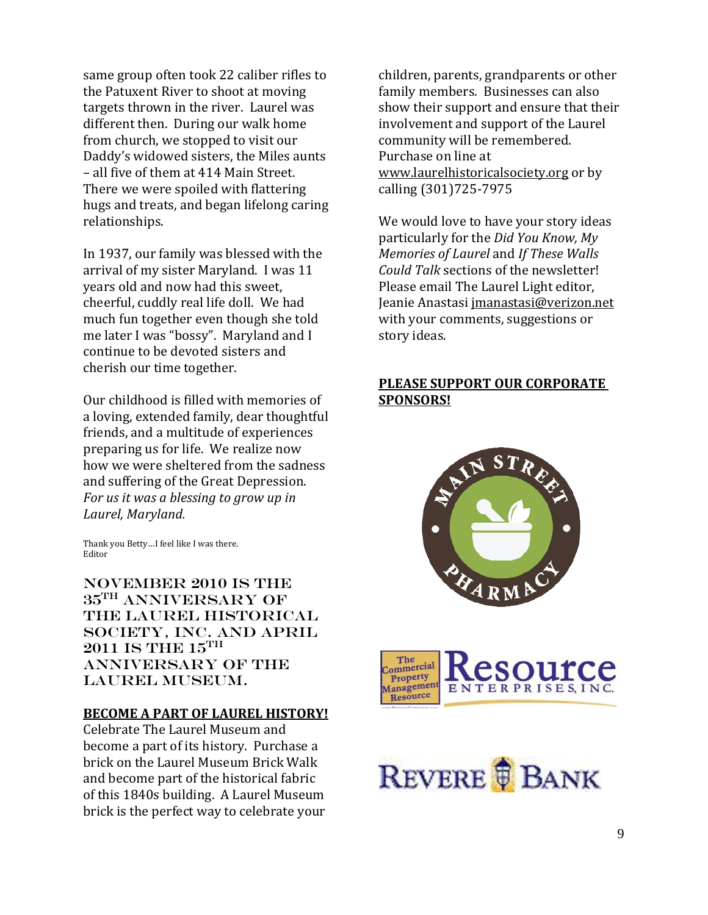same group often took 22 caliber rifles to the Patuxent River to shoot at moving targets thrown in the river. Laurel was different then. During our walk home from church, we stopped to visit our Daddy's widowed sisters, the Miles aunts – all five of them at 414 Main Street. There we were spoiled with flattering hugs and treats, and began lifelong caring relationships.

In 1937, our family was blessed with the arrival of my sister Maryland. I was 11 years old and now had this sweet, cheerful, cuddly real life doll. We had much fun together even though she told me later I was "bossy". Maryland and I continue to be devoted sisters and cherish our time together.

Our childhood is filled with memories of a loving, extended family, dear thoughtful friends, and a multitude of experiences preparing us for life. We realize now how we were sheltered from the sadness and suffering of the Great Depression. *For us it was a blessing to grow up in Laurel, Maryland.*

Thank you Betty…I feel like I was there. Editor

November 2010 is the 35th Anniversary of the Laurel Historical Society, Inc. and APRIL  $2011$  IS THE  $15$ <sup>TH</sup> Anniversary of the Laurel Museum.

#### **BECOME A PART OF LAUREL HISTORY!**

Celebrate The Laurel Museum and become a part of its history. Purchase a brick on the Laurel Museum Brick Walk and become part of the historical fabric of this 1840s building. A Laurel Museum brick is the perfect way to celebrate your

children, parents, grandparents or other family members. Businesses can also show their support and ensure that their involvement and support of the Laurel community will be remembered. Purchase on line at www.laurelhistoricalsociety.org or by calling (301)725‐7975

We would love to have your story ideas particularly for the *Did You Know, My Memories of Laurel* and *If These Walls Could Talk* sections of the newsletter! Please email The Laurel Light editor, Jeanie Anastasi jmanastasi@verizon.net with your comments, suggestions or story ideas.

#### **PLEASE SUPPORT OUR CORPORATE SPONSORS!**